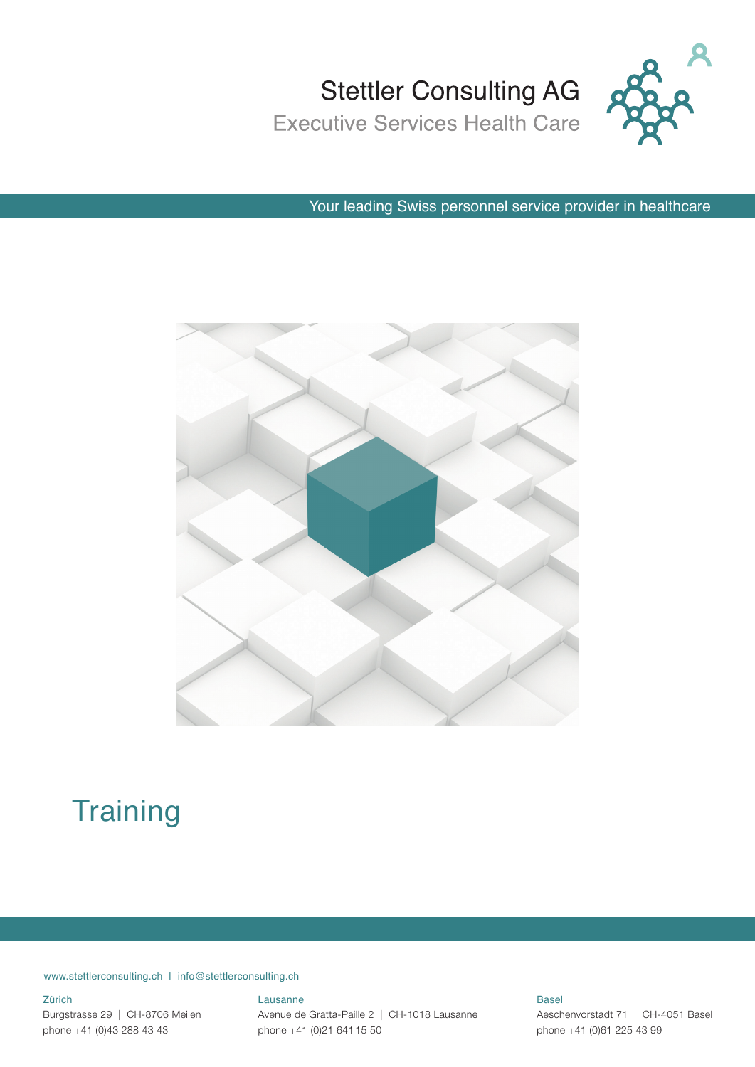



Your leading Swiss personnel service provider in healthcare



### **Training**

www.stettlerconsulting.ch | info@stettlerconsulting.ch

#### Zürich

Burgstrasse 29 | CH-8706 Meilen phone +41 (0)43 288 43 43

#### Lausanne

Avenue de Gratta-Paille 2 | CH-1018 Lausanne phone +41 (0)21 641 15 50

Basel Aeschenvorstadt 71 | CH-4051 Basel phone +41 (0)61 225 43 99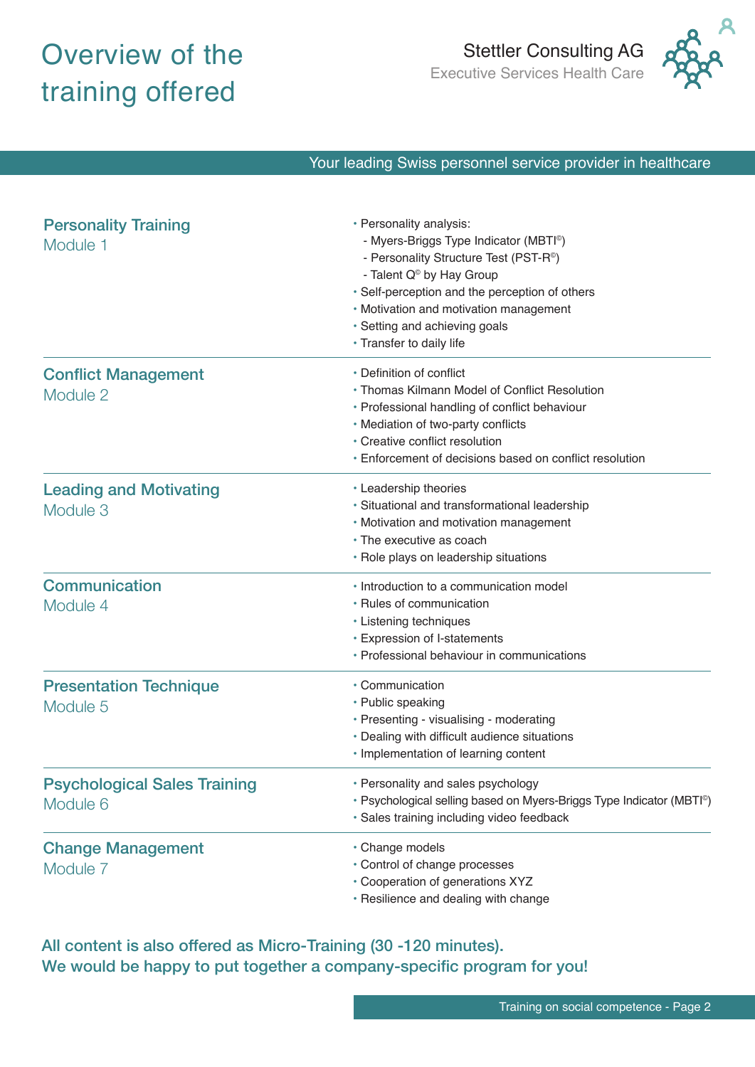### Overview of the training offered



#### Your leading Swiss personnel service provider in healthcare

| <b>Personality Training</b><br>Module 1         | • Personality analysis:<br>- Myers-Briggs Type Indicator (MBTI <sup>®</sup> )<br>- Personality Structure Test (PST-R <sup>®</sup> )<br>- Talent Q <sup>®</sup> by Hay Group<br>• Self-perception and the perception of others<br>• Motivation and motivation management<br>• Setting and achieving goals<br>• Transfer to daily life |
|-------------------------------------------------|--------------------------------------------------------------------------------------------------------------------------------------------------------------------------------------------------------------------------------------------------------------------------------------------------------------------------------------|
| <b>Conflict Management</b><br>Module 2          | • Definition of conflict<br>• Thomas Kilmann Model of Conflict Resolution<br>• Professional handling of conflict behaviour<br>• Mediation of two-party conflicts<br>• Creative conflict resolution<br>• Enforcement of decisions based on conflict resolution                                                                        |
| <b>Leading and Motivating</b><br>Module 3       | • Leadership theories<br>· Situational and transformational leadership<br>• Motivation and motivation management<br>• The executive as coach<br>• Role plays on leadership situations                                                                                                                                                |
| Communication<br>Module 4                       | • Introduction to a communication model<br>• Rules of communication<br>• Listening techniques<br>• Expression of I-statements<br>• Professional behaviour in communications                                                                                                                                                          |
| <b>Presentation Technique</b><br>Module 5       | • Communication<br>• Public speaking<br>· Presenting - visualising - moderating<br>• Dealing with difficult audience situations<br>· Implementation of learning content                                                                                                                                                              |
| <b>Psychological Sales Training</b><br>Module 6 | • Personality and sales psychology<br>· Psychological selling based on Myers-Briggs Type Indicator (MBTI®)<br>· Sales training including video feedback                                                                                                                                                                              |
| <b>Change Management</b><br>Module 7            | • Change models<br>• Control of change processes<br>• Cooperation of generations XYZ<br>• Resilience and dealing with change                                                                                                                                                                                                         |

All content is also offered as Micro-Training (30 -120 minutes). We would be happy to put together a company-specific program for you!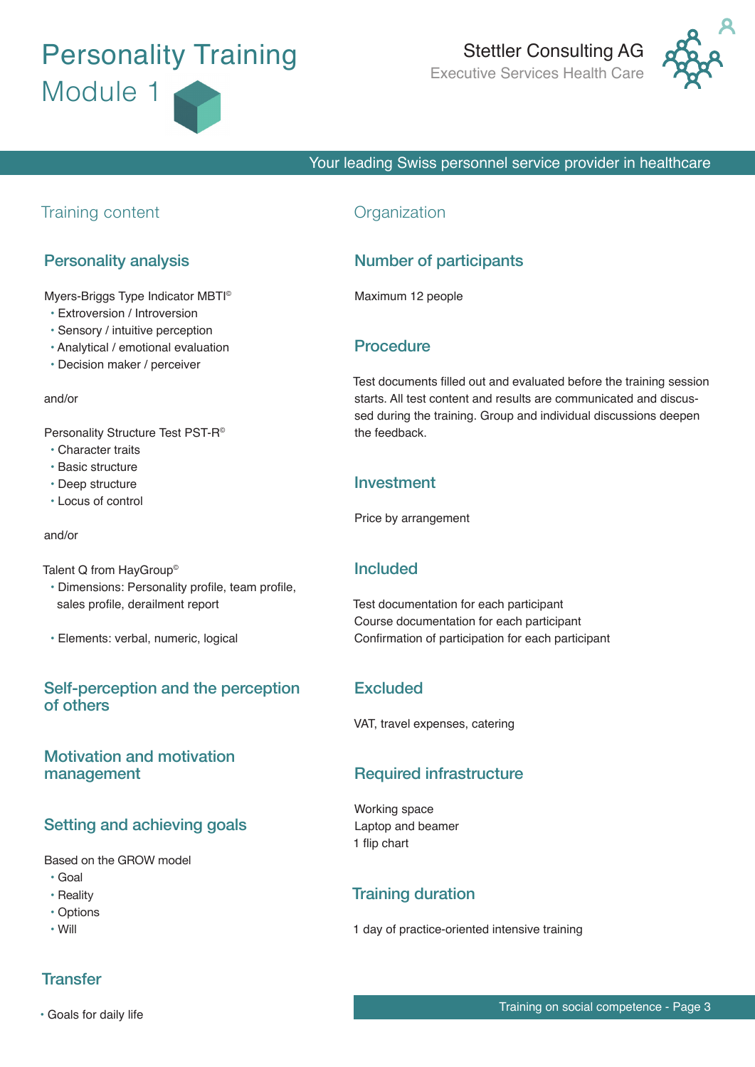### **Personality Training** Module 1

# Stettler Consulting AG<br>Executive Services Health Care



#### Your leading Swiss personnel service provider in healthcare

#### Training content

#### Personality analysis

Myers-Briggs Type Indicator MBTI©

- Extroversion / Introversion
- Sensory / intuitive perception
- Analytical / emotional evaluation
- Decision maker / perceiver

#### and/or

Personality Structure Test PST-R©

- Character traits
- Basic structure
- Deep structure
- Locus of control

#### and/or

Talent Q from HayGroup<sup>®</sup>

- Dimensions: Personality profile, team profile, sales profile, derailment report
- Elements: verbal, numeric, logical

#### Self-perception and the perception of others

#### Motivation and motivation management

#### Setting and achieving goals

#### Based on the GROW model

- Goal
- Reality
- Options
- Will

#### **Organization**

#### Number of participants

Maximum 12 people

#### **Procedure**

Test documents filled out and evaluated before the training session starts. All test content and results are communicated and discussed during the training. Group and individual discussions deepen the feedback.

#### Investment

Price by arrangement

#### Included

Test documentation for each participant Course documentation for each participant Confirmation of participation for each participant

#### **Excluded**

VAT, travel expenses, catering

#### Required infrastructure

Working space Laptop and beamer 1 flip chart

#### Training duration

1 day of practice-oriented intensive training

#### **Transfer**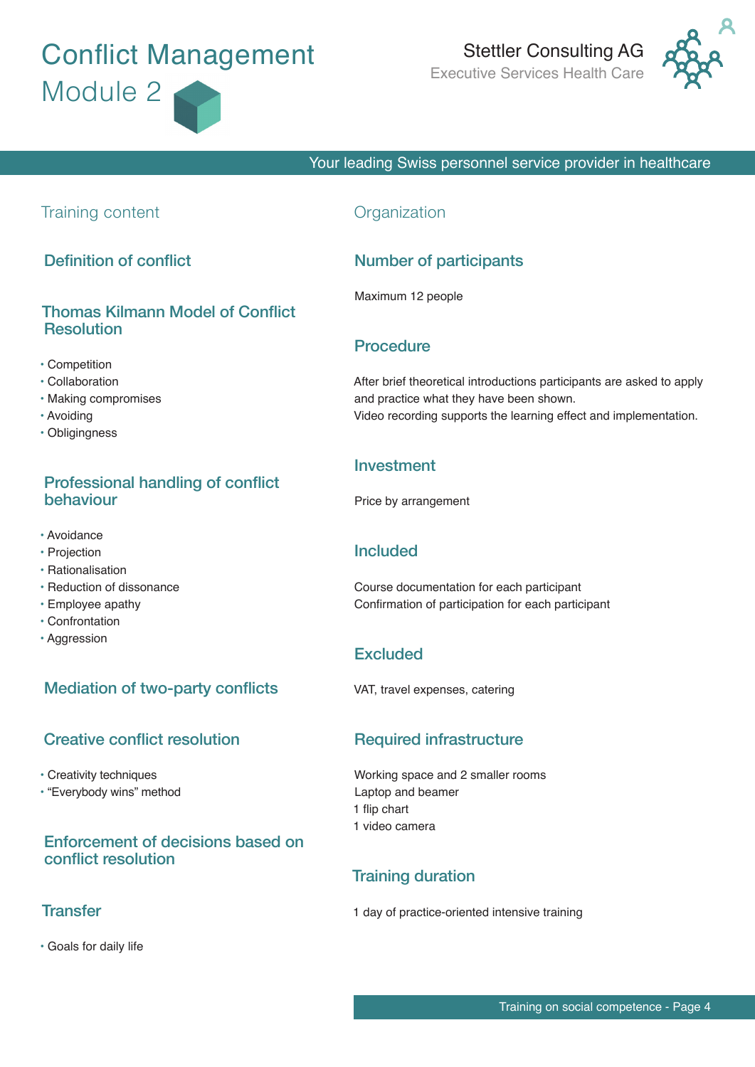### **Conflict Management** Module 2

# Stettler Consulting AG<br>Executive Services Health Care



Your leading Swiss personnel service provider in healthcare

#### Training content

Definition of conflict

#### Thomas Kilmann Model of Conflict **Resolution**

- Competition
- Collaboration
- Making compromises
- Avoiding
- Obligingness

#### Professional handling of conflict behaviour

- Avoidance
- Projection
- Rationalisation
- Reduction of dissonance
- Employee apathy
- Confrontation
- Aggression

#### Mediation of two-party conflicts

#### Creative conflict resolution

- Creativity techniques
- "Everybody wins" method

#### Enforcement of decisions based on conflict resolution

#### **Transfer**

• Goals for daily life

#### **Organization**

#### Number of participants

Maximum 12 people

#### **Procedure**

After brief theoretical introductions participants are asked to apply and practice what they have been shown. Video recording supports the learning effect and implementation.

#### Investment

Price by arrangement

#### Included

Course documentation for each participant Confirmation of participation for each participant

#### **Excluded**

VAT, travel expenses, catering

#### Required infrastructure

Working space and 2 smaller rooms Laptop and beamer 1 flip chart 1 video camera

#### Training duration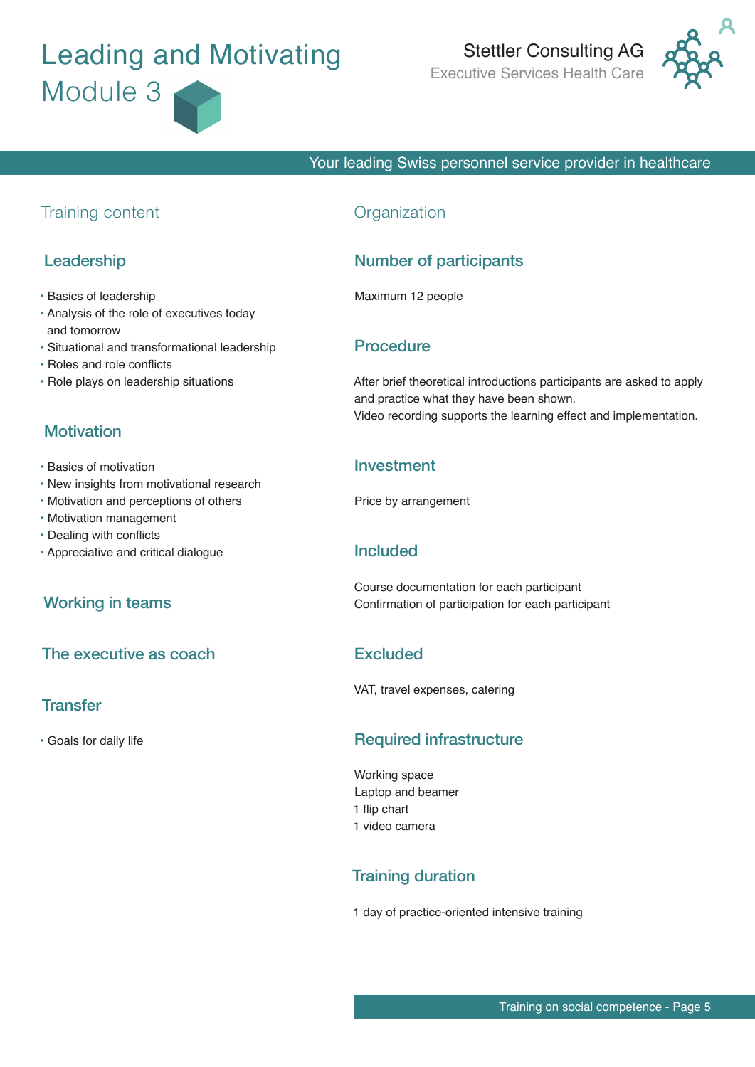## Leading and Motivating Module 3

# Stettler Consulting AG<br>Executive Services Health Care



#### Your leading Swiss personnel service provider in healthcare

#### Training content

#### Leadership

- Basics of leadership
- Analysis of the role of executives today and tomorrow
- Situational and transformational leadership
- Roles and role conflicts
- Role plays on leadership situations

#### **Motivation**

- Basics of motivation
- New insights from motivational research
- Motivation and perceptions of others
- Motivation management
- Dealing with conflicts
- Appreciative and critical dialogue

#### Working in teams

#### The executive as coach

#### **Transfer**

• Goals for daily life

#### **Organization**

#### Number of participants

Maximum 12 people

#### Procedure

After brief theoretical introductions participants are asked to apply and practice what they have been shown. Video recording supports the learning effect and implementation.

#### Investment

Price by arrangement

#### Included

Course documentation for each participant Confirmation of participation for each participant

#### **Excluded**

VAT, travel expenses, catering

#### Required infrastructure

Working space Laptop and beamer 1 flip chart 1 video camera

#### Training duration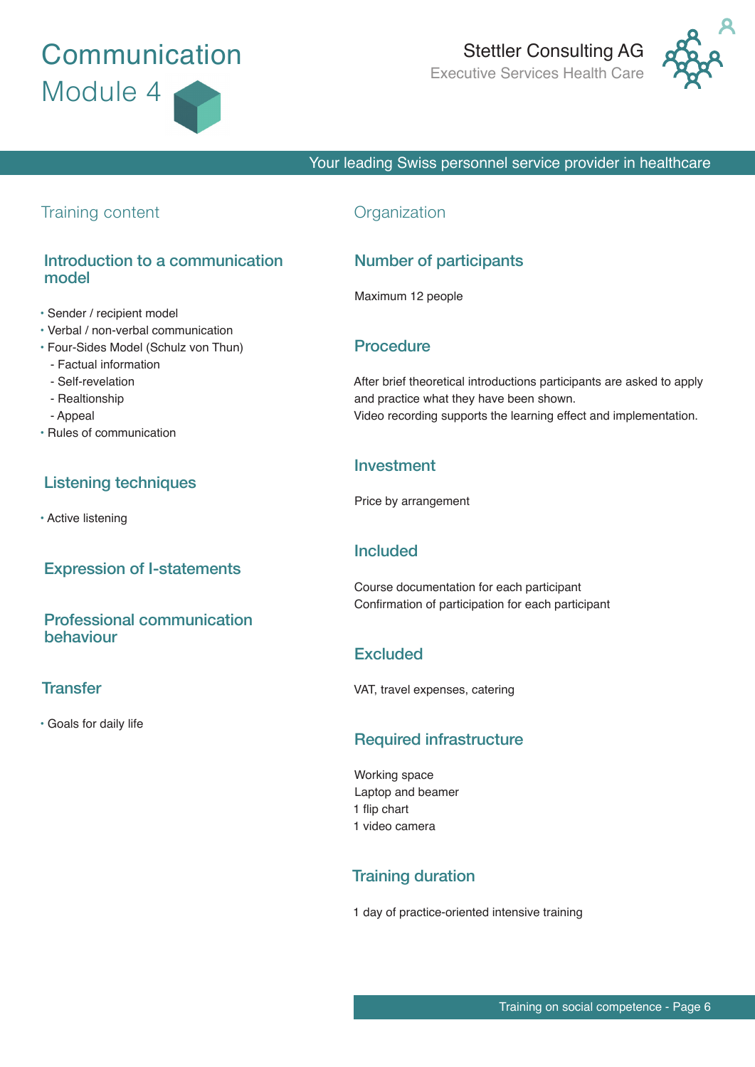### **Communication** Module 4

### Stettler Consulting AG Executive Services Health Care



#### Your leading Swiss personnel service provider in healthcare

#### Training content

#### Introduction to a communication model

- Sender / recipient model
- Verbal / non-verbal communication
- Four-Sides Model (Schulz von Thun)
	- Factual information
	- Self-revelation
	- Realtionship
	- Appeal
- Rules of communication

#### Listening techniques

• Active listening

#### Expression of I-statements

#### Professional communication behaviour

#### **Transfer**

• Goals for daily life

#### **Organization**

#### Number of participants

Maximum 12 people

#### Procedure

After brief theoretical introductions participants are asked to apply and practice what they have been shown. Video recording supports the learning effect and implementation.

#### Investment

Price by arrangement

#### Included

Course documentation for each participant Confirmation of participation for each participant

#### **Excluded**

VAT, travel expenses, catering

#### Required infrastructure

Working space Laptop and beamer 1 flip chart 1 video camera

#### Training duration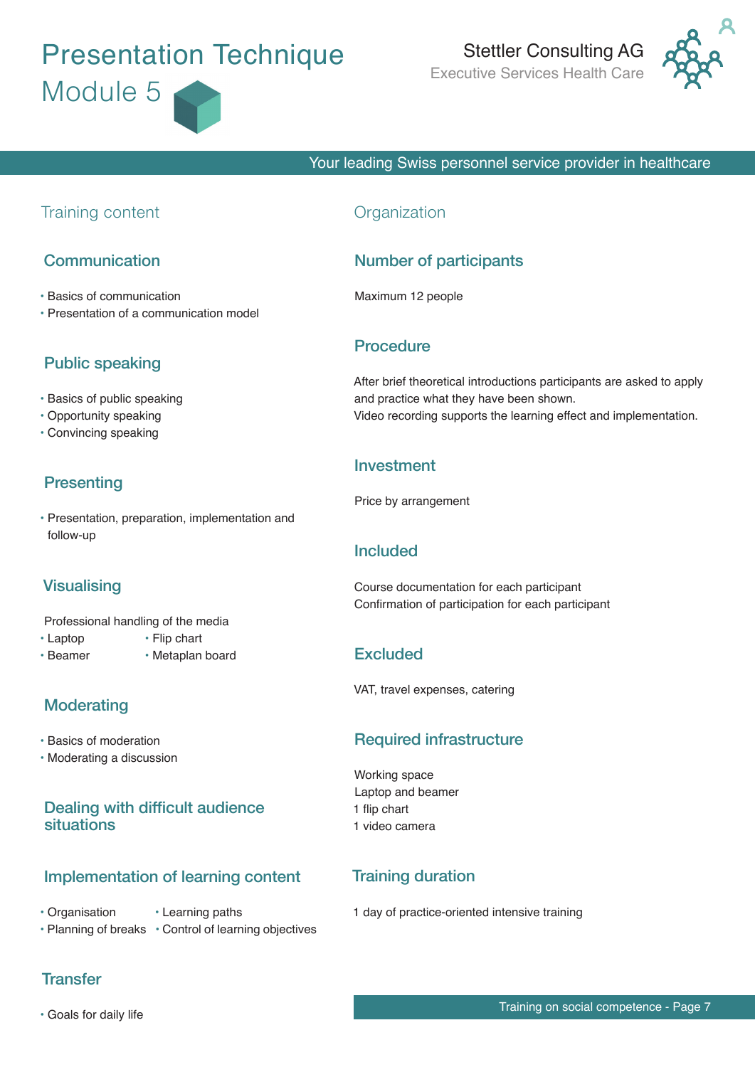## **Presentation Technique** Module 5

# Stettler Consulting AG<br>Executive Services Health Care



#### Your leading Swiss personnel service provider in healthcare

#### Training content

#### Communication

- Basics of communication
- Presentation of a communication model

#### Public speaking

- Basics of public speaking
- Opportunity speaking
- Convincing speaking

#### **Presenting**

• Presentation, preparation, implementation and follow-up

#### **Visualising**

- Professional handling of the media
- Laptop Flip chart
- Beamer Metaplan board

#### **Moderating**

- Basics of moderation
- Moderating a discussion

#### Dealing with difficult audience situations

#### Implementation of learning content

- Organisation Learning paths
- Planning of breaks Control of learning objectives

#### **Transfer**

#### **Organization**

#### Number of participants

Maximum 12 people

#### **Procedure**

After brief theoretical introductions participants are asked to apply and practice what they have been shown. Video recording supports the learning effect and implementation.

#### Investment

Price by arrangement

#### Included

Course documentation for each participant Confirmation of participation for each participant

#### **Excluded**

VAT, travel expenses, catering

#### Required infrastructure

Working space Laptop and beamer 1 flip chart 1 video camera

#### Training duration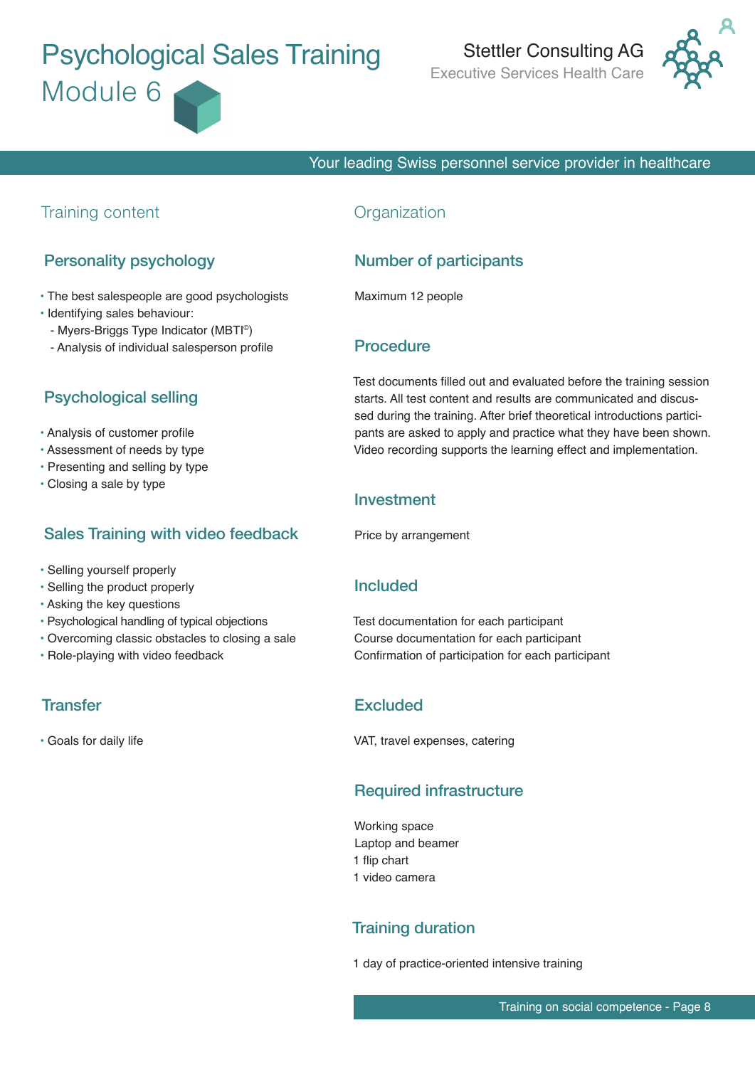## **Psychological Sales Training** Module 6

# Stettler Consulting AG<br>Executive Services Health Care



#### Your leading Swiss personnel service provider in healthcare

#### Training content

#### Personality psychology

- The best salespeople are good psychologists
- Identifying sales behaviour:
- Myers-Briggs Type Indicator (MBTI©)
- Analysis of individual salesperson profile

#### Psychological selling

- Analysis of customer profile
- Assessment of needs by type
- Presenting and selling by type
- Closing a sale by type

#### Sales Training with video feedback

- Selling yourself properly
- Selling the product properly
- Asking the key questions
- Psychological handling of typical objections
- Overcoming classic obstacles to closing a sale
- Role-playing with video feedback

#### **Transfer**

• Goals for daily life

#### **Organization**

#### Number of participants

Maximum 12 people

#### Procedure

Test documents filled out and evaluated before the training session starts. All test content and results are communicated and discussed during the training. After brief theoretical introductions participants are asked to apply and practice what they have been shown. Video recording supports the learning effect and implementation.

#### Investment

Price by arrangement

#### Included

Test documentation for each participant Course documentation for each participant Confirmation of participation for each participant

#### **Excluded**

VAT, travel expenses, catering

#### Required infrastructure

Working space Laptop and beamer 1 flip chart 1 video camera

#### Training duration